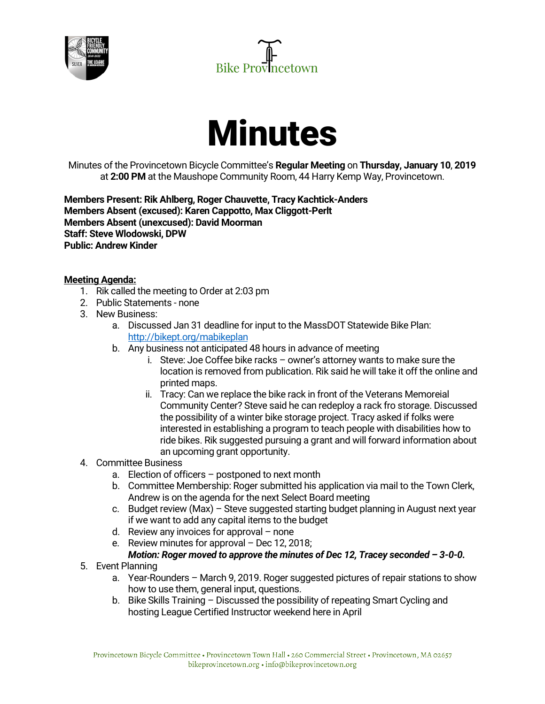





Minutes of the Provincetown Bicycle Committee's **Regular Meeting** on **Thursday, January 10**, **2019** at **2:00 PM** at the Maushope Community Room, 44 Harry Kemp Way, Provincetown.

**Members Present: Rik Ahlberg, Roger Chauvette, Tracy Kachtick-Anders Members Absent (excused): Karen Cappotto, Max Cliggott-Perlt Members Absent (unexcused): David Moorman Staff: Steve Wlodowski, DPW Public: Andrew Kinder**

## **Meeting Agenda:**

- 1. Rik called the meeting to Order at 2:03 pm
- 2. Public Statements none
- 3. New Business:
	- a. Discussed Jan 31 deadline for input to the MassDOT Statewide Bike Plan: http://bikept.org/mabikeplan
	- b. Any business not anticipated 48 hours in advance of meeting
		- i. Steve: Joe Coffee bike racks owner's attorney wants to make sure the location is removed from publication. Rik said he will take it off the online and printed maps.
		- ii. Tracy: Can we replace the bike rack in front of the Veterans Memoreial Community Center? Steve said he can redeploy a rack fro storage. Discussed the possibility of a winter bike storage project. Tracy asked if folks were interested in establishing a program to teach people with disabilities how to ride bikes. Rik suggested pursuing a grant and will forward information about an upcoming grant opportunity.
- 4. Committee Business
	- a. Election of officers postponed to next month
	- b. Committee Membership: Roger submitted his application via mail to the Town Clerk, Andrew is on the agenda for the next Select Board meeting
	- c. Budget review (Max) Steve suggested starting budget planning in August next year if we want to add any capital items to the budget
	- d. Review any invoices for approval none
	- e. Review minutes for approval Dec 12, 2018; *Motion: Roger moved to approve the minutes of Dec 12, Tracey seconded – 3-0-0.*
- 5. Event Planning
	- a. Year-Rounders March 9, 2019. Roger suggested pictures of repair stations to show how to use them, general input, questions.
	- b. Bike Skills Training Discussed the possibility of repeating Smart Cycling and hosting League Certified Instructor weekend here in April